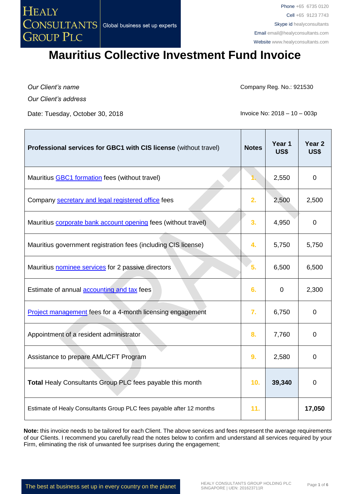

*Our Client's name Our Client's address*

Date: Tuesday, October 30, 2018 **Invoice No: 2018** - 10 – 003p

Company Reg. No.: 921530

| Professional services for GBC1 with CIS license (without travel)     | <b>Notes</b> | Year 1<br>US\$ | Year <sub>2</sub><br><b>US\$</b> |
|----------------------------------------------------------------------|--------------|----------------|----------------------------------|
| Mauritius <b>GBC1</b> formation fees (without travel)                |              | 2,550          | 0                                |
| Company secretary and legal registered office fees                   | 2.           | 2,500          | 2,500                            |
| Mauritius corporate bank account opening fees (without travel)       | 3.           | 4,950          | $\mathbf 0$                      |
| Mauritius government registration fees (including CIS license)       | 4.           | 5,750          | 5,750                            |
| Mauritius nominee services for 2 passive directors                   | 5.           | 6,500          | 6,500                            |
| Estimate of annual <b>accounting and tax</b> fees                    | 6.           | $\mathbf 0$    | 2,300                            |
| Project management fees for a 4-month licensing engagement           | 7.           | 6,750          | $\mathbf 0$                      |
| Appointment of a resident administrator                              | 8.           | 7,760          | 0                                |
| Assistance to prepare AML/CFT Program                                | 9.           | 2,580          | 0                                |
| Total Healy Consultants Group PLC fees payable this month            | 10.          | 39,340         | $\overline{0}$                   |
| Estimate of Healy Consultants Group PLC fees payable after 12 months | 11.          |                | 17,050                           |

**Note:** this invoice needs to be tailored for each Client. The above services and fees represent the average requirements of our Clients. I recommend you carefully read the notes below to confirm and understand all services required by your Firm, eliminating the risk of unwanted fee surprises during the engagement;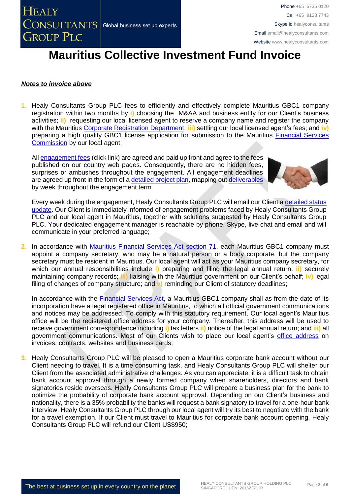#### *Notes to invoice above*

**1.** Healy Consultants Group PLC fees to efficiently and effectively complete Mauritius GBC1 company registration within two months by **i)** choosing the M&AA and business entity for our Client's business activities; **ii)** requesting our local licensed agent to reserve a company name and register the company with the Mauritius [Corporate Registration Department;](http://companies.govmu.org/English/Pages/default.aspx) **iii)** settling our local licensed agent's fees; and **iv)** preparing a high quality GBC1 license application for submission to the Mauritius [Financial Services](http://www.fscmauritius.org/being-licensed/applying-for-a-licence/global-business.aspx)  [Commission](http://www.fscmauritius.org/being-licensed/applying-for-a-licence/global-business.aspx) by our local agent;

All [engagement fees](http://www.healyconsultants.com/company-registration-fees/) (click link) are agreed and paid up front and agree to the fees published on our country web pages. Consequently, there are no hidden fees, surprises or ambushes throughout the engagement. All engagement deadlines are agreed up front in the form of a [detailed project plan,](http://www.healyconsultants.com/index-important-links/example-project-plan/) mapping out [deliverables](http://www.healyconsultants.com/deliverables-to-our-clients/) by week throughout the engagement term



Every week during the engagement, Healy Consultants Group PLC will email our Client a [detailed status](http://www.healyconsultants.com/index-important-links/weekly-engagement-status-email/)  [update.](http://www.healyconsultants.com/index-important-links/weekly-engagement-status-email/) Our Client is immediately informed of engagement problems faced by Healy Consultants Group PLC and our local agent in Mauritius, together with solutions suggested by Healy Consultants Group PLC. Your dedicated engagement manager is reachable by phone, Skype, live chat and email and will communicate in your preferred language;

**2.** In accordance with [Mauritius Financial Services Act section 71,](http://www.fscmauritius.org/media/116561/financial_services_act_2007.pdf) each Mauritius GBC1 company must appoint a company secretary, who may be a natural person or a body corporate, but the company secretary must be resident in Mauritius. Our local agent will act as your Mauritius company secretary, for which our annual responsibilities include **i)** preparing and filing the legal annual return; **ii)** securely maintaining company records; **iii)** liaising with the Mauritius government on our Client's behalf; **iv)** legal filing of changes of company structure; and **v)** reminding our Client of statutory deadlines;

In accordance with the [Financial Services Act,](http://www.fscmauritius.org/media/116561/financial_services_act_2007.pdf) a Mauritius GBC1 company shall as from the date of its incorporation have a legal registered office in Mauritius, to which all official government communications and notices may be addressed. To comply with this statutory requirement, Our local agent's Mauritius office will be the registered office address for your company. Thereafter, this address will be used to receive government correspondence including **i)** tax letters **ii)** notice of the legal annual return; and **iii)** all government communications. Most of our Clients wish to place our local agent's [office address](http://www.healyconsultants.com/corporate-outsourcing-services/company-secretary-and-legal-registered-office/) on invoices, contracts, websites and business cards;

**3.** Healy Consultants Group PLC will be pleased to open a Mauritius corporate bank account without our Client needing to travel. It is a time consuming task, and Healy Consultants Group PLC will shelter our Client from the associated administrative challenges. As you can appreciate, it is a difficult task to obtain bank account approval through a newly formed company when shareholders, directors and bank signatories reside overseas. Healy Consultants Group PLC will prepare a business plan for the bank to optimize the probability of corporate bank account approval. Depending on our Client's business and nationality, there is a 35% probability the banks will request a bank signatory to travel for a one-hour bank interview. Healy Consultants Group PLC through our local agent will try its best to negotiate with the bank for a travel exemption. If our Client must travel to Mauritius for corporate bank account opening, Healy Consultants Group PLC will refund our Client US\$950;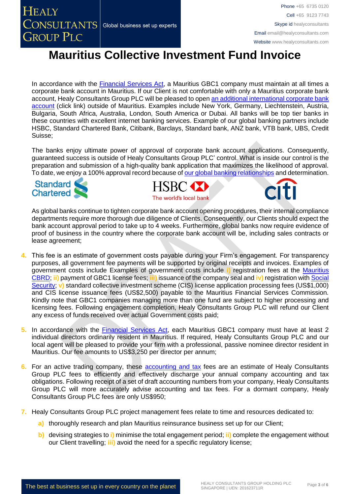Phone +65 6735 0120 Cell +65 9123 7743 Skype id healyconsultants Email [email@healyconsultants.com](mailto:EMAIL@HEALYCONSULTANTS.COM) Website [www.healyconsultants.com](http://www.healyconsultants.com/)

# **Mauritius Collective Investment Fund Invoice**

In accordance with the [Financial Services Act,](http://www.fscmauritius.org/media/116561/financial_services_act_2007.pdf) a Mauritius GBC1 company must maintain at all times a corporate bank account in Mauritius. If our Client is not comfortable with only a Mauritius corporate bank account, Healy Consultants Group PLC will be pleased to open [an additional international corporate bank](http://www.healyconsultants.com/international-banking/)  [account](http://www.healyconsultants.com/international-banking/) (click link) outside of Mauritius. Examples include New York, Germany, Liechtenstein, Austria, Bulgaria, South Africa, Australia, London, South America or Dubai. All banks will be top tier banks in these countries with excellent internet banking services. Example of our global banking partners include HSBC, Standard Chartered Bank, Citibank, Barclays, Standard bank, ANZ bank, VTB bank, UBS, Credit Suisse;

The banks enjoy ultimate power of approval of corporate bank account applications. Consequently, guaranteed success is outside of Healy Consultants Group PLC' control. What is inside our control is the preparation and submission of a high-quality bank application that maximizes the likelihood of approval. To date, we enjoy a 100% approval record because of [our global banking relationships](http://www.healyconsultants.com/international-banking/corporate-accounts/) and determination.



**HEALY** 

**GROUP PLC** 



As global banks continue to tighten corporate bank account opening procedures, their internal compliance departments require more thorough due diligence of Clients. Consequently, our Clients should expect the bank account approval period to take up to 4 weeks. Furthermore, global banks now require evidence of proof of business in the country where the corporate bank account will be, including sales contracts or lease agreement;

- **4.** This fee is an estimate of government costs payable during your Firm's engagement. For transparency purposes, all government fee payments will be supported by original receipts and invoices. Examples of government costs include Examples of government costs include **i)** registration fees at the [Mauritius](http://companies.govmu.org/English/Pages/default.aspx)  [CBRD;](http://companies.govmu.org/English/Pages/default.aspx) **ii)** payment of GBC1 license fees; **iii)** issuance of the company seal and **iv)** registration with [Social](http://socialsecurity.govmu.org/English/Pages/default.aspx)  [Security;](http://socialsecurity.govmu.org/English/Pages/default.aspx) **v**) standard collective investment scheme (CIS) license application processing fees (US\$1,000) and CIS license issuance fees (US\$2,500) payable to the Mauritius Financial Services Commission. Kindly note that GBC1 companies managing more than one fund are subject to higher processing and licensing fees. Following engagement completion, Healy Consultants Group PLC will refund our Client any excess of funds received over actual Government costs paid;
- **5.** In accordance with the **Financial Services Act**, each Mauritius GBC1 company must have at least 2 individual directors ordinarily resident in Mauritius. If required, Healy Consultants Group PLC and our local agent will be pleased to provide your firm with a professional, passive nominee director resident in Mauritius. Our fee amounts to US\$3,250 per director per annum;
- **6.** For an active trading company, these [accounting and tax](http://www.healyconsultants.com/mauritius-company-registration/accounting-legal/) fees are an estimate of Healy Consultants Group PLC fees to efficiently and effectively discharge your annual company accounting and tax obligations. Following receipt of a set of draft accounting numbers from your company, Healy Consultants Group PLC will more accurately advise accounting and tax fees. For a dormant company, Healy Consultants Group PLC fees are only US\$950;
- **7.** Healy Consultants Group PLC project management fees relate to time and resources dedicated to:
	- **a)** thoroughly research and plan Mauritius reinsurance business set up for our Client;
	- **b)** devising strategies to **i)** minimise the total engagement period; **ii)** complete the engagement without our Client travelling; **iii)** avoid the need for a specific regulatory license;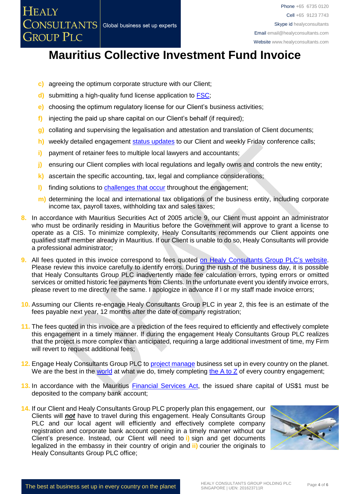- **c)** agreeing the optimum corporate structure with our Client;
- **d)** submitting a high-quality fund license application to [FSC;](https://www.fscmauritius.org/)
- **e)** choosing the optimum regulatory license for our Client's business activities;
- **f)** injecting the paid up share capital on our Client's behalf (if required);
- **g)** collating and supervising the legalisation and attestation and translation of Client documents;
- h) weekly detailed engagement [status updates](http://www.healyconsultants.com/index-important-links/weekly-engagement-status-email/) to our Client and weekly Friday conference calls;
- **i)** payment of retainer fees to multiple local lawyers and accountants;
- **j)** ensuring our Client complies with local regulations and legally owns and controls the new entity;
- **k)** ascertain the specific accounting, tax, legal and compliance considerations;
- **l)** finding solutions to [challenges that occur](http://www.healyconsultants.com/engagement-project-management/) throughout the engagement;
- **m)** determining the local and international tax obligations of the business entity, including corporate income tax, payroll taxes, withholding tax and sales taxes;
- **8.** In accordance with Mauritius Securities Act of 2005 article 9, our Client must appoint an administrator who must be ordinarily residing in Mauritius before the Government will approve to grant a license to operate as a CIS. To minimize complexity, Healy Consultants recommends our Client appoints one qualified staff member already in Mauritius. If our Client is unable to do so, Healy Consultants will provide a professional administrator;
- **9.** All fees quoted in this invoice correspond to fees quoted [on Healy Consultants Group PLC's](http://www.healyconsultants.com/company-registration-fees/) website. Please review this invoice carefully to identify errors. During the rush of the business day, it is possible that Healy Consultants Group PLC inadvertently made fee calculation errors, typing errors or omitted services or omitted historic fee payments from Clients. In the unfortunate event you identify invoice errors, please revert to me directly re the same. I apologize in advance if I or my staff made invoice errors;
- **10.** Assuming our Clients re-engage Healy Consultants Group PLC in year 2, this fee is an estimate of the fees payable next year, 12 months after the date of company registration;
- **11.** The fees quoted in this invoice are a prediction of the fees required to efficiently and effectively complete this engagement in a timely manner. If during the engagement Healy Consultants Group PLC realizes that the project is more complex than anticipated, requiring a large additional investment of time, my Firm will revert to request additional fees;
- **12.** Engage Healy Consultants Group PLC to [project manage](http://www.healyconsultants.com/project-manage-engagements/) business set up in every country on the planet. We are the best in the [world](http://www.healyconsultants.com/best-in-the-world/) at what we do, timely completing [the A to Z](http://www.healyconsultants.com/a-to-z-of-business-set-up/) of every country engagement;
- 13. In accordance with the Mauritius **Financial Services Act**, the issued share capital of US\$1 must be deposited to the company bank account;
- **14.** If our Client and Healy Consultants Group PLC properly plan this engagement, our Clients will *not* have to travel during this engagement. Healy Consultants Group PLC and our local agent will efficiently and effectively complete company registration and corporate bank account opening in a timely manner without our Client's presence. Instead, our Client will need to **i)** sign and get documents legalized in the embassy in their country of origin and **ii)** courier the originals to Healy Consultants Group PLC office;

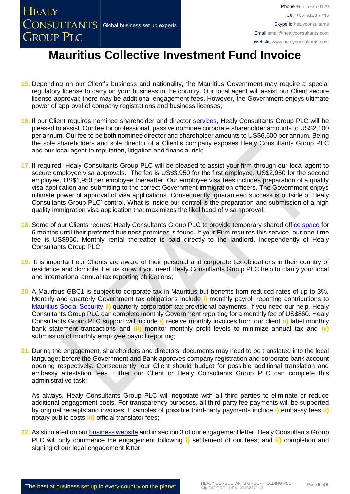- **15.** Depending on our Client's business and nationality, the Mauritius Government may require a special regulatory license to carry on your business in the country. Our local agent will assist our Client secure license approval; there may be additional engagement fees. However, the Government enjoys ultimate power of approval of company registrations and business licenses;
- **16.** If our Client requires nominee shareholder and director [services,](http://www.healyconsultants.com/corporate-outsourcing-services/nominee-shareholders-directors/) Healy Consultants Group PLC will be pleased to assist. Our fee for professional, passive nominee corporate shareholder amounts to US\$2,100 per annum. Our fee to be both nominee director and shareholder amounts to US\$6,600 per annum. Being the sole shareholders and sole director of a Client's company exposes Healy Consultants Group PLC and our local agent to reputation, litigation and financial risk;
- **17.** If required, Healy Consultants Group PLC will be pleased to assist your firm through our local agent to secure employee visa approvals. The fee is US\$3,950 for the first employee, US\$2,950 for the second employee, US\$1,950 per employee thereafter. Our employee visa fees includes preparation of a quality visa application and submitting to the correct Government immigration officers. The Government enjoys ultimate power of approval of visa applications. Consequently, guaranteed success is outside of Healy Consultants Group PLC' control. What is inside our control is the preparation and submission of a high quality immigration visa application that maximizes the likelihood of visa approval;
- 18. Some of our Clients request Healy Consultants Group PLC to provide temporary shared [office space](http://www.healyconsultants.com/virtual-office/) for 6 months until their preferred business premises is found. If your Firm requires this service, our one-time fee is US\$950. Monthly rental thereafter is paid directly to the landlord, independently of Healy Consultants Group PLC;
- **19.** It is important our Clients are aware of their personal and corporate tax obligations in their country of residence and domicile. Let us know if you need Healy Consultants Group PLC help to clarify your local and international annual tax reporting obligations;
- **20.** A Mauritius GBC1 is subject to corporate tax in Mauritius but benefits from reduced rates of up to 3%. Monthly and quarterly Government tax obligations include **i)** monthly payroll reporting contributions to [Mauritius Social Security](file:///D:/AppData/Local/Microsoft/Windows/INetCache/Content.Outlook/XRFLDTO1/socialsecurity.gov.mu/) **ii)** quarterly corporation tax provisional payments. If you need our help, Healy Consultants Group PLC can complete monthly Government reporting for a monthly fee of US\$860. Healy Consultants Group PLC support will include **i)** receive monthly invoices from our client **ii)** label monthly bank statement transactions and **iii)** monitor monthly profit levels to minimize annual tax and **iv)** submission of monthly employee payroll reporting;
- **21.** During the engagement, shareholders and directors' documents may need to be translated into the local language; before the Government and Bank approves company registration and corporate bank account opening respectively. Consequently, our Client should budget for possible additional translation and embassy attestation fees. Either our Client or Healy Consultants Group PLC can complete this administrative task;

As always, Healy Consultants Group PLC will negotiate with all third parties to eliminate or reduce additional engagement costs. For transparency purposes, all third-party fee payments will be supported by original receipts and invoices. Examples of possible third-party payments include **i)** embassy fees **ii)** notary public costs **iii)** official translator fees;

**22.** As stipulated on ou[r business website](http://www.healyconsultants.com/) and in section 3 of our engagement letter, Healy Consultants Group PLC will only commence the engagement following **i)** settlement of our fees; and **ii)** completion and signing of our legal engagement letter;